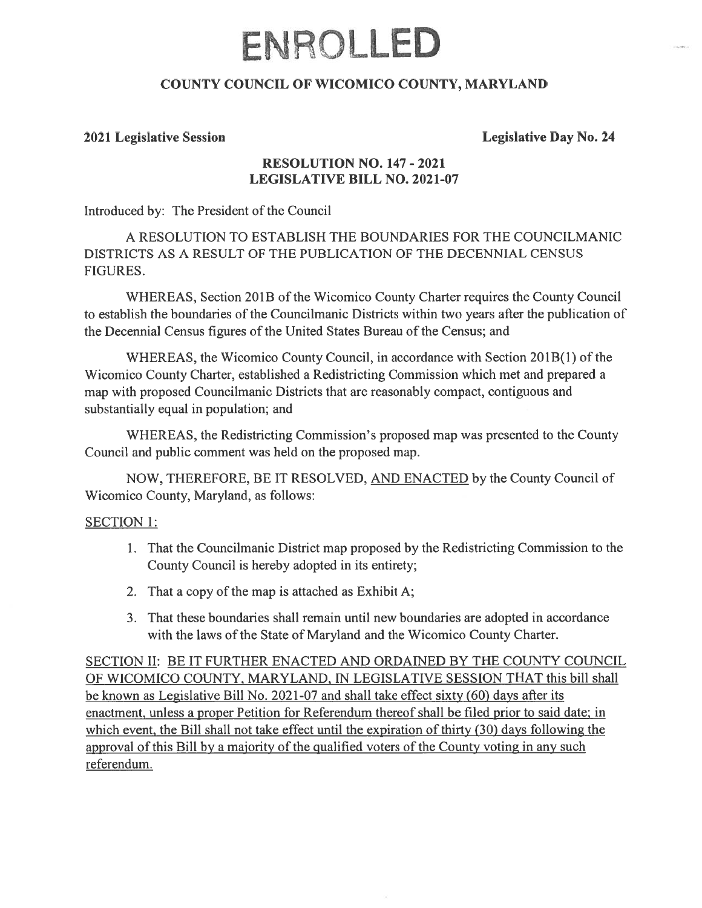# ENROLLED

## COUNTY COUNCIL OF WICOMICO COUNTY, MARYLAND

#### 2021 Legislative Session Legislative Day No. 24

### RESOLUTION NO. 147 - 2021 LEGISLATIVE BILL NO. 2021-07

Introduced by: The President of the Council

A RESOLUTION TO ESTABLISH THE BOUNDARIES FOR THE COUNCILMANIC DISTRICTS AS A RESULT OF THE PUBLICATION OF THE DECENNIAL CENSUS FIGURES.

WHEREAS, Section 201B of the Wicomico County Charter requires the County Council to establish the boundaries of the Councilmanic Districts within two years after the publication of the Decennial Census figures of the United States Bureau of the Census; and

WHEREAS, the Wicomico County Council, in accordance with Section 201B(l) of the Wicomico County Charter, established <sup>a</sup> Redistricting Commission which met and prepared <sup>a</sup> map with proposed Councilmanic Districts that are reasonably compact, contiguous and substantially equal in population; and

WHEREAS, the Redistricting Commission's proposed map was presented to the County Council and public comment was held on the proposed map.

NOW, THEREFORE, BE IT RESOLVED, AND ENACTED by the County Council of Wicomico County, Maryland, as follows:

#### SECTION 1:

- 1. That the Councilmanic District map proposed by the Redistricting Commission to the County Council is hereby adopted in its entirety;
- 2. That <sup>a</sup> copy of the map is attached as Exhibit A;
- 3. That these boundaries shall remain until new boundaries are adopted in accordance with the laws of the State of Maryland and the Wicomico County Charter.

SECTION II: BE IT FURTHER ENACTED AND ORDAINED BY THE COUNTY COUNCIL OF WICOMICO COUNTY, MARYLAND, IN LEGISLATIVE SESSION THAT this bill shall be known as Legislative Bill No. 2021-07 and shall take effect sixty (60) days after its enactment, unless a proper Petition for Referendum thereof shall be filed prior to said date; in which event, the Bill shall not take effect until the expiration of thirty  $(30)$  days following the approval of this Bill by a majority of the qualified voters of the County voting in any such referendum.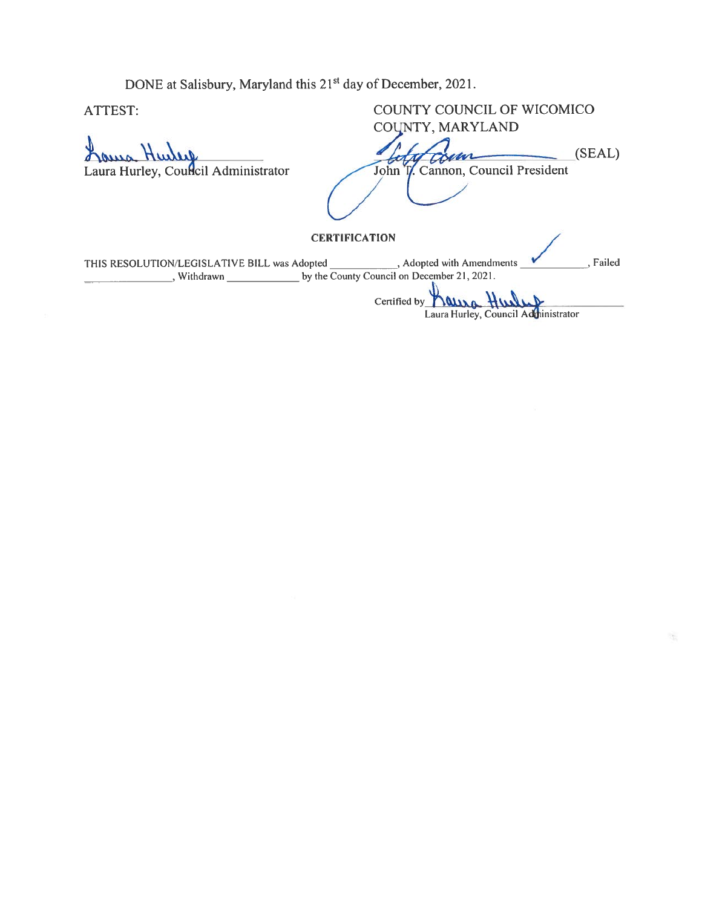DONE at Salisbury, Maryland this 21<sup>st</sup> day of December, 2021.

ATTEST: COUNTY COUNCIL OF WICOMICO DONE at Salisbury, Maryland this 21<sup>st</sup> day of December, 2021.<br>COUNTY COUNCIL OF COUNTY, MARYLAND (SEAL) Laura Hurley, Council Administrator John T. Cannon, Council President

**CERTIFICATION** 

THIS RESOLUTION/LEGISLATIVE BILL was Adopted Adopted with Amendments Failed Withdrawn by the County Council on December 21, 2021.

Certified by **NUWA** Laura Hurley, Council Ad<mark>u</mark>ninistrator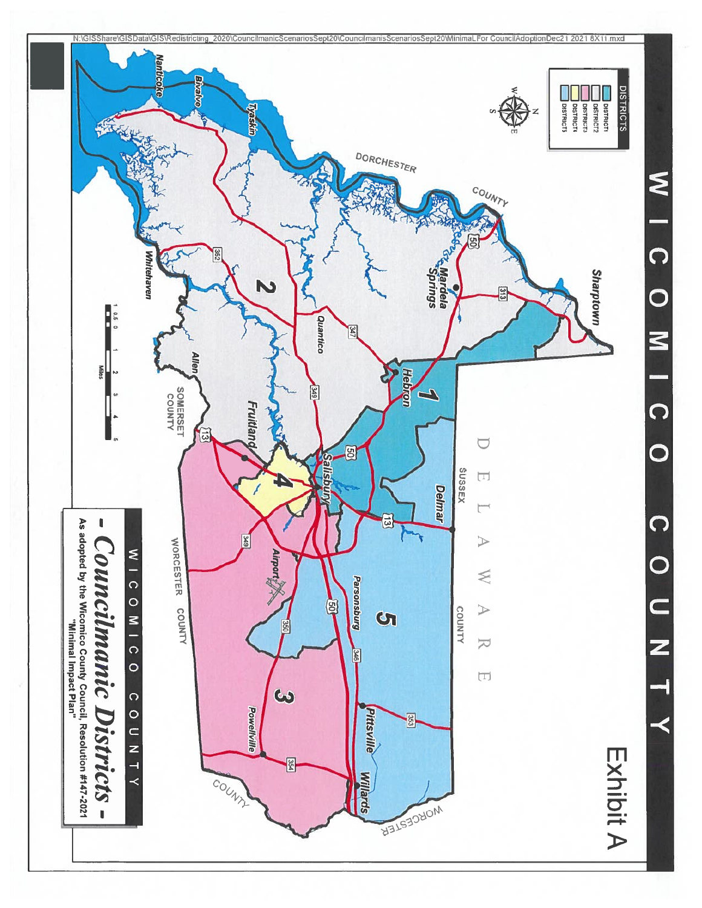